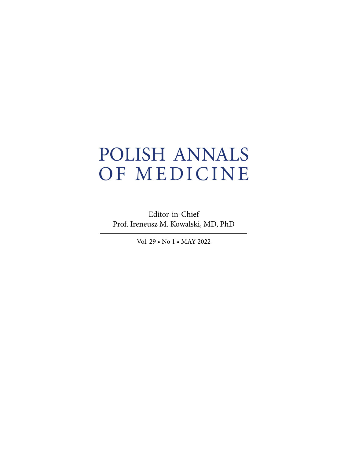## POLISH ANNALS OF MEDICINE

Editor-in-Chief Prof. Ireneusz M. Kowalski, MD, PhD

Vol. 29 • No 1 • MAY 2022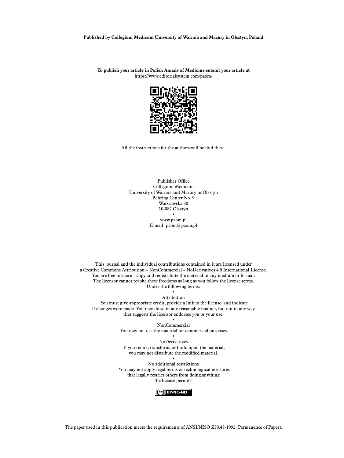**Published by Collegium Medicum University of Warmia and Mazury in Olsztyn, Poland**

**To publish your article in Polish Annals of Medicine submit your article at** <https://www.editorialsystem.com/paom/>



All the instructions for the authors will be find there.

Publisher Office Collegium Medicum University of Warmia and Mazury in Olsztyn Behring Center No. 9 Warszawska 30 10-082 Olsztyn • www.paom.pl E-mail: paom@paom.pl

This journal and the individual contributions contained in it are licensed under a Creative Commons Attribution – NonCommercial – NoDerivatives 4.0 International License. You are free to share – copy and redistribute the material in any medium or format. The licensor cannot revoke these freedoms as long as you follow the license terms. Under the following terms:

> • Attribution

 You must give appropriate credit, provide a link to the license, and indicate if changes were made. You may do so in any reasonable manner, but not in any way that suggests the licensor endorses you or your use.

> • NonCommercial You may not use the material for commercial purposes. •

NoDerivatives If you remix, transform, or build upon the material, you may not distribute the modified material. •

No additional restrictions You may not apply legal terms or technological measures that legally restrict others from doing anything the license permits.



The paper used in this publication meets the requirements of ANSI/NISO Z39.48-1992 (Permanence of Paper).